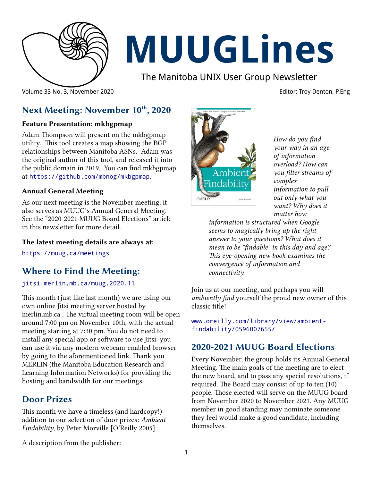

# **MUUGLines**

The Manitoba UNIX User Group Newsletter

Volume 33 No. 3, November 2020 Editor: Troy Denton, P.Eng

# **Next Meeting: November 10th, 2020**

## **Feature Presentation: mkbgpmap**

Adam Thompson will present on the mkbgpmap utility. This tool creates a map showing the BGP relationships between Manitoba ASNs. Adam was the original author of this tool, and released it into the public domain in 2019. You can find mkbgpmap at <https://github.com/mbnog/mkbgpmap>.

## **Annual General Meeting**

As our next meeting is the November meeting, it also serves as MUUG's Annual General Meeting. See the "2020-2021 MUUG Board Elections" article in this newsletter for more detail.

## **The latest meeting details are always at:**

<https://muug.ca/meetings>

# **Where to Find the Meeting:**

[jitsi.merlin.mb.ca/muug.2020.11](https://jitsi.merlin.mb.ca/muug.2020.11)

This month (just like last month) we are using our own online Jitsi meeting server hosted by merlin.mb.ca . The virtual meeting room will be open around 7:00 pm on November 10th, with the actual meeting starting at 7:30 pm. You do not need to install any special app or software to use Jitsi: you can use it via any modern webcam-enabled browser by going to the aforementioned link. Thank you MERLIN (the Manitoba Education Research and Learning Information Networks) for providing the hosting and bandwidth for our meetings.

## **Door Prizes**

This month we have a timeless (and hardcopy!) addition to our selection of door prizes: *Ambient Findability*, by Peter Morville [O'Reilly 2005]



*How do you find your way in an age of information overload? How can you filter streams of complex information to pull out only what you want? Why does it matter how* 

*information is structured when Google seems to magically bring up the right answer to your questions? What does it mean to be "findable" in this day and age? This eye-opening new book examines the convergence of information and connectivity.*

Join us at our meeting, and perhaps you will *ambiently find* yourself the proud new owner of this classic title!

[www.oreilly.com/library/view/ambient](https://www.oreilly.com/library/view/ambient-findability/0596007655/)[findability/0596007655/](https://www.oreilly.com/library/view/ambient-findability/0596007655/)

## **2020-2021 MUUG Board Elections**

Every November, the group holds its Annual General Meeting. The main goals of the meeting are to elect the new board, and to pass any special resolutions, if required. The Board may consist of up to ten (10) people. Those elected will serve on the MUUG board from November 2020 to November 2021. Any MUUG member in good standing may nominate someone they feel would make a good candidate, including themselves.

A description from the publisher: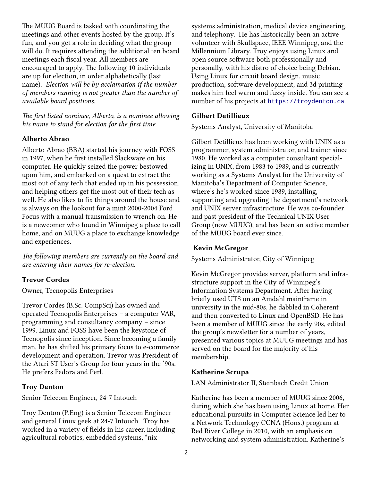The MUUG Board is tasked with coordinating the meetings and other events hosted by the group. It's fun, and you get a role in deciding what the group will do. It requires attending the additional ten board meetings each fiscal year. All members are encouraged to apply. The following 10 individuals are up for election, in order alphabetically (last name). *Election will be by acclamation if the number of members running is not greater than the number of available board positions.*

*The first listed nominee, Alberto, is a nominee allowing his name to stand for election for the first time.*

#### **Alberto Abrao**

Alberto Abrao (BBA) started his journey with FOSS in 1997, when he first installed Slackware on his computer. He quickly seized the power bestowed upon him, and embarked on a quest to extract the most out of any tech that ended up in his possession, and helping others get the most out of their tech as well. He also likes to fix things around the house and is always on the lookout for a mint 2000-2004 Ford Focus with a manual transmission to wrench on. He is a newcomer who found in Winnipeg a place to call home, and on MUUG a place to exchange knowledge and experiences.

*The following members are currently on the board and are entering their names for re-election.*

#### **Trevor Cordes**

Owner, Tecnopolis Enterprises

Trevor Cordes (B.Sc. CompSci) has owned and operated Tecnopolis Enterprises – a computer VAR, programming and consultancy company – since 1999. Linux and FOSS have been the keystone of Tecnopolis since inception. Since becoming a family man, he has shifted his primary focus to e-commerce development and operation. Trevor was President of the Atari ST User's Group for four years in the '90s. He prefers Fedora and Perl.

#### **Troy Denton**

Senior Telecom Engineer, 24-7 Intouch

Troy Denton (P.Eng) is a Senior Telecom Engineer and general Linux geek at 24-7 Intouch. Troy has worked in a variety of fields in his career, including agricultural robotics, embedded systems, \*nix

systems administration, medical device engineering, and telephony. He has historically been an active volunteer with Skullspace, IEEE Winnipeg, and the Millennium Library. Troy enjoys using Linux and open source software both professionally and personally, with his distro of choice being Debian. Using Linux for circuit board design, music production, software development, and 3d printing makes him feel warm and fuzzy inside. You can see a number of his projects at [https://troydenton.ca](https://troydenton.ca/).

#### **Gilbert Detillieux**

Systems Analyst, University of Manitoba

Gilbert Detillieux has been working with UNIX as a programmer, system administrator, and trainer since 1980. He worked as a computer consultant specializing in UNIX, from 1983 to 1989, and is currently working as a Systems Analyst for the University of Manitoba's Department of Computer Science, where's he's worked since 1989, installing, supporting and upgrading the department's network and UNIX server infrastructure. He was co-founder and past president of the Technical UNIX User Group (now MUUG), and has been an active member of the MUUG board ever since.

#### **Kevin McGregor**

Systems Administrator, City of Winnipeg

Kevin McGregor provides server, platform and infrastructure support in the City of Winnipeg's Information Systems Department. After having briefly used UTS on an Amdahl mainframe in university in the mid-80s, he dabbled in Coherent and then converted to Linux and OpenBSD. He has been a member of MUUG since the early 90s, edited the group's newsletter for a number of years, presented various topics at MUUG meetings and has served on the board for the majority of his membership.

#### **Katherine Scrupa**

LAN Administrator II, Steinbach Credit Union

Katherine has been a member of MUUG since 2006, during which she has been using Linux at home. Her educational pursuits in Computer Science led her to a Network Technology CCNA (Hons.) program at Red River College in 2010, with an emphasis on networking and system administration. Katherine's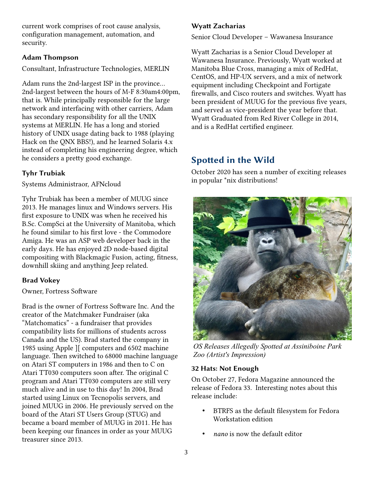current work comprises of root cause analysis, configuration management, automation, and security.

#### **Adam Thompson**

Consultant, Infrastructure Technologies, MERLIN

Adam runs the 2nd-largest ISP in the province... 2nd-largest between the hours of M-F 8:30am4:00pm, that is. While principally responsible for the large network and interfacing with other carriers, Adam has secondary responsibility for all the UNIX systems at MERLIN. He has a long and storied history of UNIX usage dating back to 1988 (playing Hack on the QNX BBS!), and he learned Solaris 4.x instead of completing his engineering degree, which he considers a pretty good exchange.

## **Tyhr Trubiak**

Systems Administraor, AFNcloud

Tyhr Trubiak has been a member of MUUG since 2013. He manages linux and Windows servers. His first exposure to UNIX was when he received his B.Sc. CompSci at the University of Manitoba, which he found similar to his first love - the Commodore Amiga. He was an ASP web developer back in the early days. He has enjoyed 2D node-based digital compositing with Blackmagic Fusion, acting, fitness, downhill skiing and anything Jeep related.

### **Brad Vokey**

#### Owner, Fortress Software

Brad is the owner of Fortress Software Inc. And the creator of the Matchmaker Fundraiser (aka "Matchomatics" - a fundraiser that provides compatibility lists for millions of students across Canada and the US). Brad started the company in 1985 using Apple ][ computers and 6502 machine language. Then switched to 68000 machine language on Atari ST computers in 1986 and then to C on Atari TT030 computers soon after. The original C program and Atari TT030 computers are still very much alive and in use to this day! In 2004, Brad started using Linux on Tecnopolis servers, and joined MUUG in 2006. He previously served on the board of the Atari ST Users Group (STUG) and became a board member of MUUG in 2011. He has been keeping our finances in order as your MUUG treasurer since 2013.

## **Wyatt Zacharias**

Senior Cloud Developer – Wawanesa Insurance

Wyatt Zacharias is a Senior Cloud Developer at Wawanesa Insurance. Previously, Wyatt worked at Manitoba Blue Cross, managing a mix of RedHat, CentOS, and HP-UX servers, and a mix of network equipment including Checkpoint and Fortigate firewalls, and Cisco routers and switches. Wyatt has been president of MUUG for the previous five years, and served as vice-president the year before that. Wyatt Graduated from Red River College in 2014, and is a RedHat certified engineer.

## **Spotted in the Wild**

October 2020 has seen a number of exciting releases in popular \*nix distributions!



*OS Releases Allegedly Spotted at Assiniboine Park Zoo (Artist's Impression)*

### **32 Hats: Not Enough**

On October 27, Fedora Magazine announced the release of Fedora 33. Interesting notes about this release include:

- BTRFS as the default filesystem for Fedora Workstation edition
- *nano* is now the default editor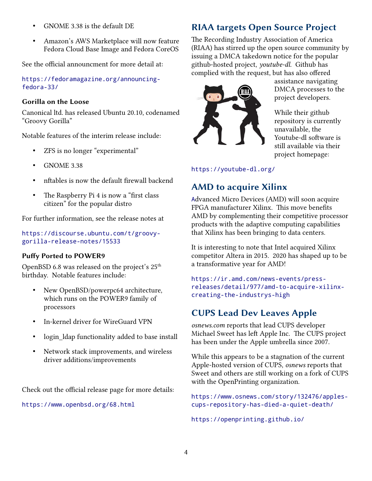- GNOME 3.38 is the default DE
- Amazon's AWS Marketplace will now feature Fedora Cloud Base Image and Fedora CoreOS

See the official announcment for more detail at:

[https://fedoramagazine.org/announcing](https://fedoramagazine.org/announcing-fedora-33/)[fedora-33/](https://fedoramagazine.org/announcing-fedora-33/)

#### **Gorilla on the Loose**

Canonical ltd. has released Ubuntu 20.10, codenamed "Groovy Gorilla"

Notable features of the interim release include:

- ZFS is no longer "experimental"
- GNOME 3.38
- nftables is now the default firewall backend
- The Raspberry Pi 4 is now a "first class" citizen" for the popular distro

For further information, see the release notes at

[https://discourse.ubuntu.com/t/groovy](https://discourse.ubuntu.com/t/groovy-gorilla-release-notes/15533)[gorilla-release-notes/15533](https://discourse.ubuntu.com/t/groovy-gorilla-release-notes/15533)

#### **Puffy Ported to POWER9**

OpenBSD 6.8 was released on the project's  $25<sup>th</sup>$ birthday. Notable features include:

- New OpenBSD/powerpc64 architecture, which runs on the POWER9 family of processors
- In-kernel driver for WireGuard VPN
- login\_ldap functionality added to base install
- Network stack improvements, and wireless driver additions/improvements

Check out the official release page for more details:

<https://www.openbsd.org/68.html>

# **RIAA targets Open Source Project**

The Recording Industry Association of America (RIAA) has stirred up the open source community by issuing a DMCA takedown notice for the popular github-hosted project, *youtube-dl.* Github has complied with the request, but has also offered



assistance navigating DMCA processes to the project developers.

While their github repository is currently unavailable, the Youtube-dl software is still available via their project homepage:

<https://youtube-dl.org/>

# **AMD to acquire Xilinx**

[A](https://github.com/system76/firmware-open)dvanced Micro Devices (AMD) will soon acquire FPGA manufacturer Xilinx. This move benefits AMD by complementing their competitive processor products with the adaptive computing capabilities that Xilinx has been bringing to data centers.

It is interesting to note that Intel acquired Xilinx competitor Altera in 2015. 2020 has shaped up to be a transformative year for AMD!

[https://ir.amd.com/news-events/press](https://ir.amd.com/news-events/press-releases/detail/977/amd-to-acquire-xilinx-creating-the-industrys-high)[releases/detail/977/amd-to-acquire-xilinx](https://ir.amd.com/news-events/press-releases/detail/977/amd-to-acquire-xilinx-creating-the-industrys-high)[creating-the-industrys-high](https://ir.amd.com/news-events/press-releases/detail/977/amd-to-acquire-xilinx-creating-the-industrys-high)

## **CUPS Lead Dev Leaves Apple**

*osnews.com* reports that lead CUPS developer Michael Sweet has left Apple Inc. The CUPS project has been under the Apple umbrella since 2007.

While this appears to be a stagnation of the current Apple-hosted version of CUPS, *osnews* reports that Sweet and others are still working on a fork of CUPS with the OpenPrinting organization.

[https://www.osnews.com/story/132476/apples](https://www.osnews.com/story/132476/apples-cups-repository-has-died-a-quiet-death/)[cups-repository-has-died-a-quiet-death/](https://www.osnews.com/story/132476/apples-cups-repository-has-died-a-quiet-death/)

<https://openprinting.github.io/>